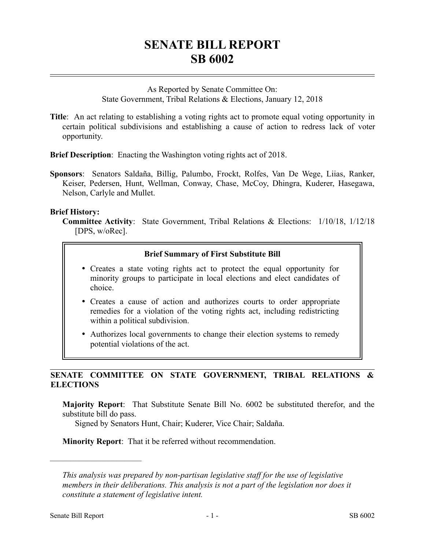# **SENATE BILL REPORT SB 6002**

As Reported by Senate Committee On: State Government, Tribal Relations & Elections, January 12, 2018

**Title**: An act relating to establishing a voting rights act to promote equal voting opportunity in certain political subdivisions and establishing a cause of action to redress lack of voter opportunity.

**Brief Description**: Enacting the Washington voting rights act of 2018.

**Sponsors**: Senators Saldaña, Billig, Palumbo, Frockt, Rolfes, Van De Wege, Liias, Ranker, Keiser, Pedersen, Hunt, Wellman, Conway, Chase, McCoy, Dhingra, Kuderer, Hasegawa, Nelson, Carlyle and Mullet.

#### **Brief History:**

**Committee Activity**: State Government, Tribal Relations & Elections: 1/10/18, 1/12/18 [DPS, w/oRec].

### **Brief Summary of First Substitute Bill**

- Creates a state voting rights act to protect the equal opportunity for minority groups to participate in local elections and elect candidates of choice.
- Creates a cause of action and authorizes courts to order appropriate remedies for a violation of the voting rights act, including redistricting within a political subdivision.
- Authorizes local governments to change their election systems to remedy potential violations of the act.

## **SENATE COMMITTEE ON STATE GOVERNMENT, TRIBAL RELATIONS & ELECTIONS**

**Majority Report**: That Substitute Senate Bill No. 6002 be substituted therefor, and the substitute bill do pass.

Signed by Senators Hunt, Chair; Kuderer, Vice Chair; Saldaña.

**Minority Report**: That it be referred without recommendation.

––––––––––––––––––––––

*This analysis was prepared by non-partisan legislative staff for the use of legislative members in their deliberations. This analysis is not a part of the legislation nor does it constitute a statement of legislative intent.*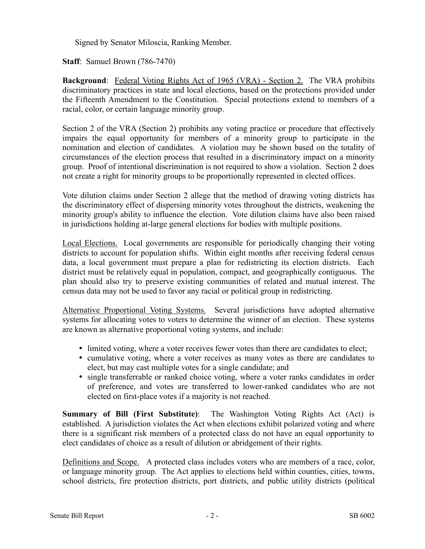Signed by Senator Miloscia, Ranking Member.

**Staff**: Samuel Brown (786-7470)

**Background**: Federal Voting Rights Act of 1965 (VRA) - Section 2. The VRA prohibits discriminatory practices in state and local elections, based on the protections provided under the Fifteenth Amendment to the Constitution. Special protections extend to members of a racial, color, or certain language minority group.

Section 2 of the VRA (Section 2) prohibits any voting practice or procedure that effectively impairs the equal opportunity for members of a minority group to participate in the nomination and election of candidates. A violation may be shown based on the totality of circumstances of the election process that resulted in a discriminatory impact on a minority group. Proof of intentional discrimination is not required to show a violation. Section 2 does not create a right for minority groups to be proportionally represented in elected offices.

Vote dilution claims under Section 2 allege that the method of drawing voting districts has the discriminatory effect of dispersing minority votes throughout the districts, weakening the minority group's ability to influence the election. Vote dilution claims have also been raised in jurisdictions holding at-large general elections for bodies with multiple positions.

Local Elections. Local governments are responsible for periodically changing their voting districts to account for population shifts. Within eight months after receiving federal census data, a local government must prepare a plan for redistricting its election districts. Each district must be relatively equal in population, compact, and geographically contiguous. The plan should also try to preserve existing communities of related and mutual interest. The census data may not be used to favor any racial or political group in redistricting.

Alternative Proportional Voting Systems. Several jurisdictions have adopted alternative systems for allocating votes to voters to determine the winner of an election. These systems are known as alternative proportional voting systems, and include:

- limited voting, where a voter receives fewer votes than there are candidates to elect;
- cumulative voting, where a voter receives as many votes as there are candidates to elect, but may cast multiple votes for a single candidate; and
- single transferrable or ranked choice voting, where a voter ranks candidates in order of preference, and votes are transferred to lower-ranked candidates who are not elected on first-place votes if a majority is not reached.

**Summary of Bill (First Substitute)**: The Washington Voting Rights Act (Act) is established. A jurisdiction violates the Act when elections exhibit polarized voting and where there is a significant risk members of a protected class do not have an equal opportunity to elect candidates of choice as a result of dilution or abridgement of their rights.

Definitions and Scope. A protected class includes voters who are members of a race, color, or language minority group. The Act applies to elections held within counties, cities, towns, school districts, fire protection districts, port districts, and public utility districts (political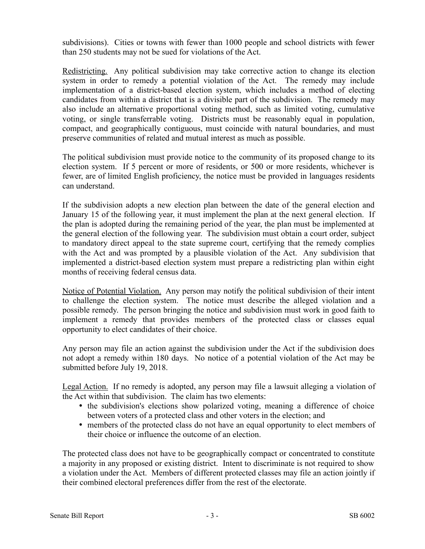subdivisions). Cities or towns with fewer than 1000 people and school districts with fewer than 250 students may not be sued for violations of the Act.

Redistricting. Any political subdivision may take corrective action to change its election system in order to remedy a potential violation of the Act. The remedy may include implementation of a district-based election system, which includes a method of electing candidates from within a district that is a divisible part of the subdivision. The remedy may also include an alternative proportional voting method, such as limited voting, cumulative voting, or single transferrable voting. Districts must be reasonably equal in population, compact, and geographically contiguous, must coincide with natural boundaries, and must preserve communities of related and mutual interest as much as possible.

The political subdivision must provide notice to the community of its proposed change to its election system. If 5 percent or more of residents, or 500 or more residents, whichever is fewer, are of limited English proficiency, the notice must be provided in languages residents can understand.

If the subdivision adopts a new election plan between the date of the general election and January 15 of the following year, it must implement the plan at the next general election. If the plan is adopted during the remaining period of the year, the plan must be implemented at the general election of the following year. The subdivision must obtain a court order, subject to mandatory direct appeal to the state supreme court, certifying that the remedy complies with the Act and was prompted by a plausible violation of the Act. Any subdivision that implemented a district-based election system must prepare a redistricting plan within eight months of receiving federal census data.

Notice of Potential Violation. Any person may notify the political subdivision of their intent to challenge the election system. The notice must describe the alleged violation and a possible remedy. The person bringing the notice and subdivision must work in good faith to implement a remedy that provides members of the protected class or classes equal opportunity to elect candidates of their choice.

Any person may file an action against the subdivision under the Act if the subdivision does not adopt a remedy within 180 days. No notice of a potential violation of the Act may be submitted before July 19, 2018.

Legal Action. If no remedy is adopted, any person may file a lawsuit alleging a violation of the Act within that subdivision. The claim has two elements:

- the subdivision's elections show polarized voting, meaning a difference of choice between voters of a protected class and other voters in the election; and
- members of the protected class do not have an equal opportunity to elect members of their choice or influence the outcome of an election.

The protected class does not have to be geographically compact or concentrated to constitute a majority in any proposed or existing district. Intent to discriminate is not required to show a violation under the Act. Members of different protected classes may file an action jointly if their combined electoral preferences differ from the rest of the electorate.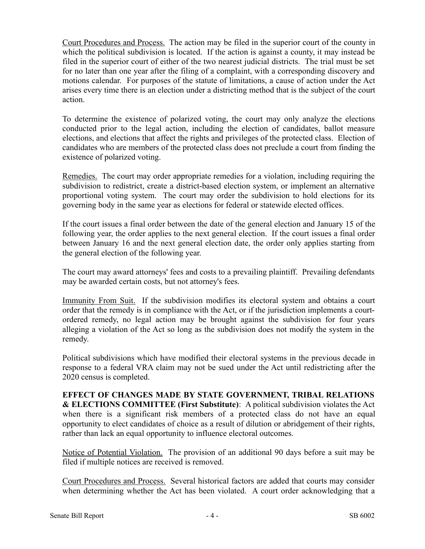Court Procedures and Process. The action may be filed in the superior court of the county in which the political subdivision is located. If the action is against a county, it may instead be filed in the superior court of either of the two nearest judicial districts. The trial must be set for no later than one year after the filing of a complaint, with a corresponding discovery and motions calendar. For purposes of the statute of limitations, a cause of action under the Act arises every time there is an election under a districting method that is the subject of the court action.

To determine the existence of polarized voting, the court may only analyze the elections conducted prior to the legal action, including the election of candidates, ballot measure elections, and elections that affect the rights and privileges of the protected class. Election of candidates who are members of the protected class does not preclude a court from finding the existence of polarized voting.

Remedies. The court may order appropriate remedies for a violation, including requiring the subdivision to redistrict, create a district-based election system, or implement an alternative proportional voting system. The court may order the subdivision to hold elections for its governing body in the same year as elections for federal or statewide elected offices.

If the court issues a final order between the date of the general election and January 15 of the following year, the order applies to the next general election. If the court issues a final order between January 16 and the next general election date, the order only applies starting from the general election of the following year.

The court may award attorneys' fees and costs to a prevailing plaintiff. Prevailing defendants may be awarded certain costs, but not attorney's fees.

Immunity From Suit. If the subdivision modifies its electoral system and obtains a court order that the remedy is in compliance with the Act, or if the jurisdiction implements a courtordered remedy, no legal action may be brought against the subdivision for four years alleging a violation of the Act so long as the subdivision does not modify the system in the remedy.

Political subdivisions which have modified their electoral systems in the previous decade in response to a federal VRA claim may not be sued under the Act until redistricting after the 2020 census is completed.

**EFFECT OF CHANGES MADE BY STATE GOVERNMENT, TRIBAL RELATIONS & ELECTIONS COMMITTEE (First Substitute)**: A political subdivision violates the Act when there is a significant risk members of a protected class do not have an equal opportunity to elect candidates of choice as a result of dilution or abridgement of their rights, rather than lack an equal opportunity to influence electoral outcomes.

Notice of Potential Violation. The provision of an additional 90 days before a suit may be filed if multiple notices are received is removed.

Court Procedures and Process. Several historical factors are added that courts may consider when determining whether the Act has been violated. A court order acknowledging that a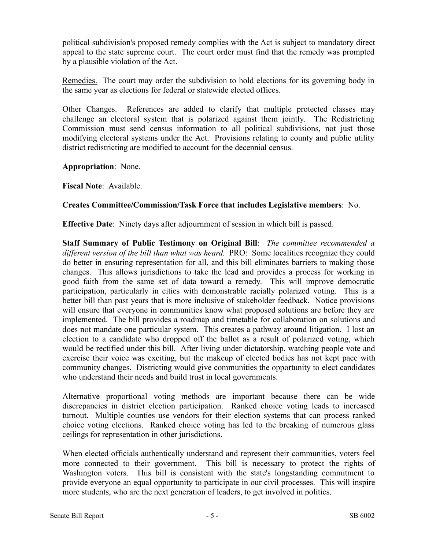political subdivision's proposed remedy complies with the Act is subject to mandatory direct appeal to the state supreme court. The court order must find that the remedy was prompted by a plausible violation of the Act.

Remedies. The court may order the subdivision to hold elections for its governing body in the same year as elections for federal or statewide elected offices.

Other Changes. References are added to clarify that multiple protected classes may challenge an electoral system that is polarized against them jointly. The Redistricting Commission must send census information to all political subdivisions, not just those modifying electoral systems under the Act. Provisions relating to county and public utility district redistricting are modified to account for the decennial census.

**Appropriation**: None.

**Fiscal Note**: Available.

### **Creates Committee/Commission/Task Force that includes Legislative members**: No.

**Effective Date**: Ninety days after adjournment of session in which bill is passed.

**Staff Summary of Public Testimony on Original Bill**: *The committee recommended a different version of the bill than what was heard.* PRO: Some localities recognize they could do better in ensuring representation for all, and this bill eliminates barriers to making those changes. This allows jurisdictions to take the lead and provides a process for working in good faith from the same set of data toward a remedy. This will improve democratic participation, particularly in cities with demonstrable racially polarized voting. This is a better bill than past years that is more inclusive of stakeholder feedback. Notice provisions will ensure that everyone in communities know what proposed solutions are before they are implemented. The bill provides a roadmap and timetable for collaboration on solutions and does not mandate one particular system. This creates a pathway around litigation. I lost an election to a candidate who dropped off the ballot as a result of polarized voting, which would be rectified under this bill. After living under dictatorship, watching people vote and exercise their voice was exciting, but the makeup of elected bodies has not kept pace with community changes. Districting would give communities the opportunity to elect candidates who understand their needs and build trust in local governments.

Alternative proportional voting methods are important because there can be wide discrepancies in district election participation. Ranked choice voting leads to increased turnout. Multiple counties use vendors for their election systems that can process ranked choice voting elections. Ranked choice voting has led to the breaking of numerous glass ceilings for representation in other jurisdictions.

When elected officials authentically understand and represent their communities, voters feel more connected to their government. This bill is necessary to protect the rights of Washington voters. This bill is consistent with the state's longstanding commitment to provide everyone an equal opportunity to participate in our civil processes. This will inspire more students, who are the next generation of leaders, to get involved in politics.